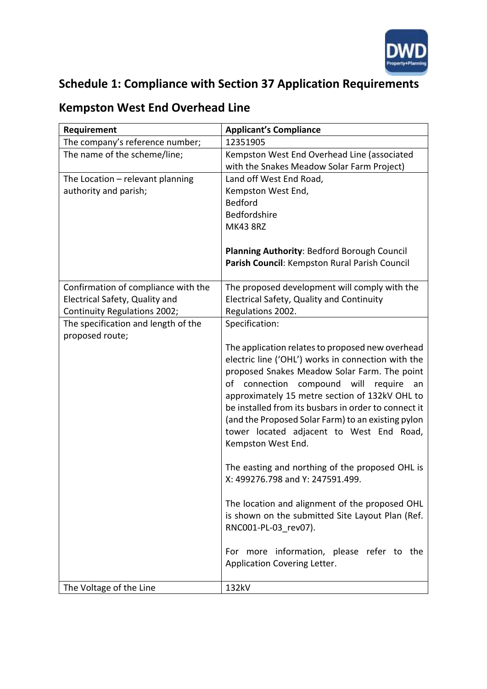

## **Schedule 1: Compliance with Section 37 Application Requirements**

## **Kempston West End Overhead Line**

| Requirement                         | <b>Applicant's Compliance</b>                        |
|-------------------------------------|------------------------------------------------------|
| The company's reference number;     | 12351905                                             |
| The name of the scheme/line;        | Kempston West End Overhead Line (associated          |
|                                     | with the Snakes Meadow Solar Farm Project)           |
| The Location - relevant planning    | Land off West End Road,                              |
| authority and parish;               | Kempston West End,                                   |
|                                     | <b>Bedford</b>                                       |
|                                     | Bedfordshire                                         |
|                                     | <b>MK43 8RZ</b>                                      |
|                                     | Planning Authority: Bedford Borough Council          |
|                                     | Parish Council: Kempston Rural Parish Council        |
|                                     |                                                      |
| Confirmation of compliance with the | The proposed development will comply with the        |
| Electrical Safety, Quality and      | Electrical Safety, Quality and Continuity            |
| Continuity Regulations 2002;        | Regulations 2002.                                    |
| The specification and length of the | Specification:                                       |
| proposed route;                     |                                                      |
|                                     | The application relates to proposed new overhead     |
|                                     | electric line ('OHL') works in connection with the   |
|                                     | proposed Snakes Meadow Solar Farm. The point         |
|                                     | connection compound will require<br>of<br>an         |
|                                     | approximately 15 metre section of 132kV OHL to       |
|                                     | be installed from its busbars in order to connect it |
|                                     | (and the Proposed Solar Farm) to an existing pylon   |
|                                     | tower located adjacent to West End Road,             |
|                                     | Kempston West End.                                   |
|                                     | The easting and northing of the proposed OHL is      |
|                                     | X: 499276.798 and Y: 247591.499.                     |
|                                     | The location and alignment of the proposed OHL       |
|                                     | is shown on the submitted Site Layout Plan (Ref.     |
|                                     | RNC001-PL-03_rev07).                                 |
|                                     |                                                      |
|                                     | For more information, please refer to the            |
|                                     | Application Covering Letter.                         |
| The Voltage of the Line             | 132kV                                                |